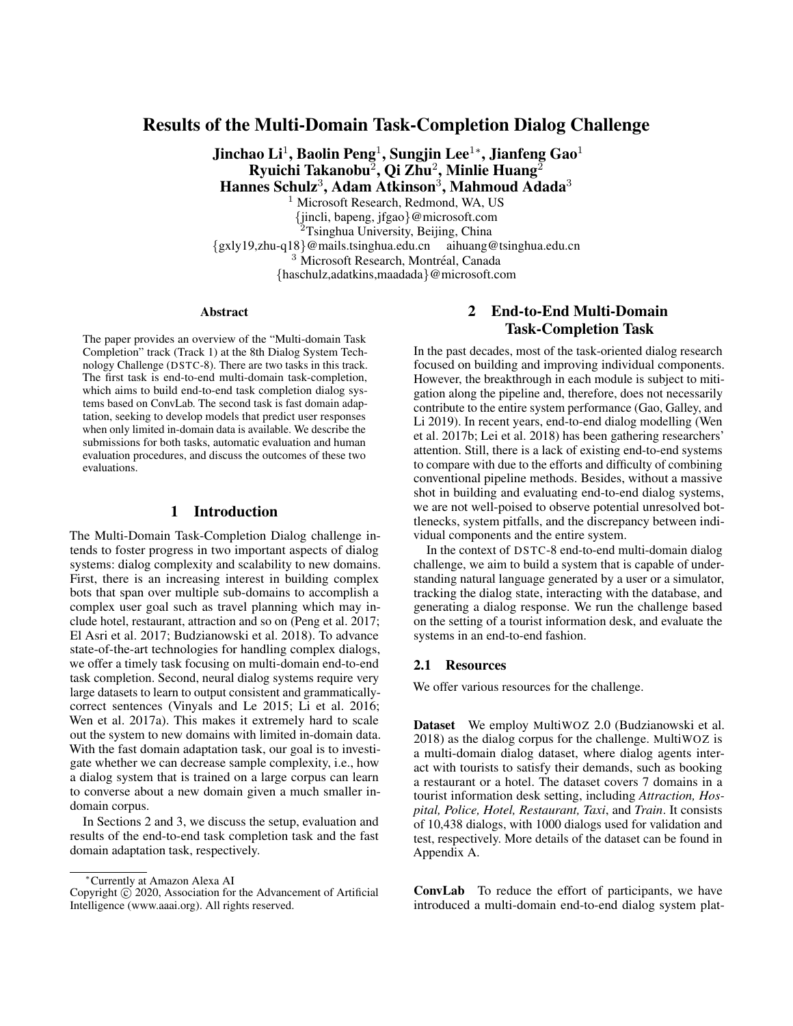## Results of the Multi-Domain Task-Completion Dialog Challenge

Jinchao Li $^1$ , Baolin Peng $^1$ , Sungjin Lee $^{1*}$ , Jianfeng Gao $^1$ Ryuichi Takanobu $^{\bar{2}}$ , Qi Zhu $^{\bar{2}}$ , Minlie Huang $^{\bar{2}}$ Hannes Schulz<sup>3</sup>, Adam Atkinson<sup>3</sup>, Mahmoud Adada<sup>3</sup>

<sup>1</sup> Microsoft Research, Redmond, WA, US {jincli, bapeng, jfgao}@microsoft.com <sup>2</sup>Tsinghua University, Beijing, China {gxly19,zhu-q18}@mails.tsinghua.edu.cn aihuang@tsinghua.edu.cn <sup>3</sup> Microsoft Research, Montréal, Canada {haschulz,adatkins,maadada}@microsoft.com

#### **Abstract**

The paper provides an overview of the "Multi-domain Task Completion" track (Track 1) at the 8th Dialog System Technology Challenge (DSTC-8). There are two tasks in this track. The first task is end-to-end multi-domain task-completion, which aims to build end-to-end task completion dialog systems based on ConvLab. The second task is fast domain adaptation, seeking to develop models that predict user responses when only limited in-domain data is available. We describe the submissions for both tasks, automatic evaluation and human evaluation procedures, and discuss the outcomes of these two evaluations.

## 1 Introduction

The Multi-Domain Task-Completion Dialog challenge intends to foster progress in two important aspects of dialog systems: dialog complexity and scalability to new domains. First, there is an increasing interest in building complex bots that span over multiple sub-domains to accomplish a complex user goal such as travel planning which may include hotel, restaurant, attraction and so on (Peng et al. 2017; El Asri et al. 2017; Budzianowski et al. 2018). To advance state-of-the-art technologies for handling complex dialogs, we offer a timely task focusing on multi-domain end-to-end task completion. Second, neural dialog systems require very large datasets to learn to output consistent and grammaticallycorrect sentences (Vinyals and Le 2015; Li et al. 2016; Wen et al. 2017a). This makes it extremely hard to scale out the system to new domains with limited in-domain data. With the fast domain adaptation task, our goal is to investigate whether we can decrease sample complexity, i.e., how a dialog system that is trained on a large corpus can learn to converse about a new domain given a much smaller indomain corpus.

In Sections 2 and 3, we discuss the setup, evaluation and results of the end-to-end task completion task and the fast domain adaptation task, respectively.

## 2 End-to-End Multi-Domain Task-Completion Task

In the past decades, most of the task-oriented dialog research focused on building and improving individual components. However, the breakthrough in each module is subject to mitigation along the pipeline and, therefore, does not necessarily contribute to the entire system performance (Gao, Galley, and Li 2019). In recent years, end-to-end dialog modelling (Wen et al. 2017b; Lei et al. 2018) has been gathering researchers' attention. Still, there is a lack of existing end-to-end systems to compare with due to the efforts and difficulty of combining conventional pipeline methods. Besides, without a massive shot in building and evaluating end-to-end dialog systems, we are not well-poised to observe potential unresolved bottlenecks, system pitfalls, and the discrepancy between individual components and the entire system.

In the context of DSTC-8 end-to-end multi-domain dialog challenge, we aim to build a system that is capable of understanding natural language generated by a user or a simulator, tracking the dialog state, interacting with the database, and generating a dialog response. We run the challenge based on the setting of a tourist information desk, and evaluate the systems in an end-to-end fashion.

#### 2.1 Resources

We offer various resources for the challenge.

Dataset We employ MultiWOZ 2.0 (Budzianowski et al. 2018) as the dialog corpus for the challenge. MultiWOZ is a multi-domain dialog dataset, where dialog agents interact with tourists to satisfy their demands, such as booking a restaurant or a hotel. The dataset covers 7 domains in a tourist information desk setting, including *Attraction, Hospital, Police, Hotel, Restaurant, Taxi*, and *Train*. It consists of 10,438 dialogs, with 1000 dialogs used for validation and test, respectively. More details of the dataset can be found in Appendix A.

ConvLab To reduce the effort of participants, we have introduced a multi-domain end-to-end dialog system plat-

<sup>∗</sup>Currently at Amazon Alexa AI

Copyright  $\odot$  2020, Association for the Advancement of Artificial Intelligence (www.aaai.org). All rights reserved.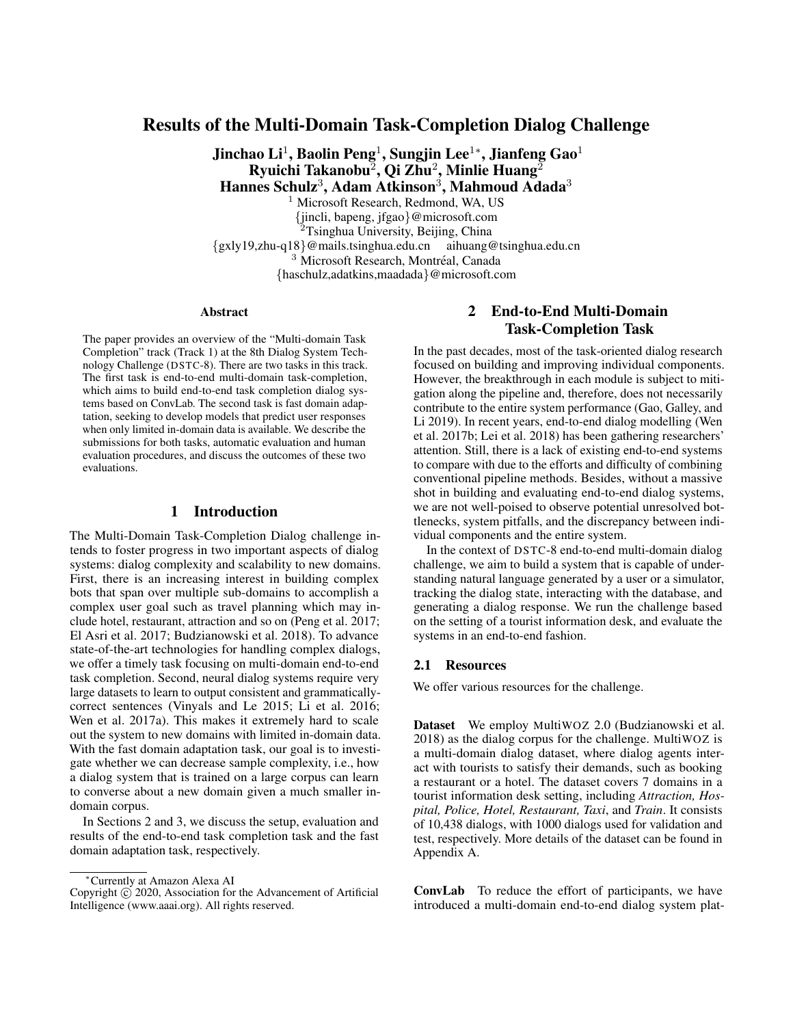form named ConvLab<sup>1</sup> (Lee et al. 2019). It covers a full range of trainable statistical and neural models with associated datasets, a rich set of tools that enable researchers to compare different approaches in the same setting, and a framework that allows users to perform end-to-end evaluation smoothly. Participants are required to build the system based on ConvLab but encouraged to explore various approaches, including conventional pipeline models and end-to-end neural models without any other constraints.

In ConvLab, we augmented MultiWOZ 2.0 with additional annotations for user dialog acts, which are missing in the original dataset. We also included pre-trained models for all dialog system components and user simulators, and end-toend neural models that are trained on the MultiWOZ dataset.

Baseline We built our baseline model with the modular pipeline approach. It consists of a multi-intent language understanding model (MILU), a rule-based dialog state tracker (DST), a rule-based dialog policy, and a template-based natural language generation (NLG) module. Participants have full access to this model pipeline in ConvLab during the challenge.

## 2.2 Submissions

There is a wide range of models and approaches in the submitted systems, including conventional modular modules, word-level DST and policy models, and end-to-end models. Most teams focus on improving individual models either by replacing the NLU embedding or adding extra modules/rules to other modules. Some adopt end-to-end approaches such as GPT-2 (Radford et al. 2018). Other groups develop new models beyond the existing modules in ConvLab. Below is a summary of dialog systems based on system descriptions in the submissions and private communication. Note that we have excluded systems that have known issues or bugs to avoid misinterpretation.

- **Team 1:** The system is built in a conventional pipeline style. For NLU, this team replaces glove embedding with BERT (Devlin et al. 2019) to improve token level presentation. At the sentence level, an attention mechanism is employed to handle the domain switch problem. Other modules are all rule-based. Rule-based DST provided in ConvLab is used to track dialog state. System policy is enhanced with additional rules to handle domain/intent conflict based on the existing rule-based system policy. Complex multi-domain/multi-intent templates are added to the existing NLG templates to reduce dialog turns and improve dialog appropriateness.
- Team 2: This system consists of a BERT-based NLU module, and a rule-based DST with a rank strategy to improve its vulnerability to domain switch. The ranking scores of slots in the same domain as the last turn are encouraged. For the system policy, a confirm strategy is designed for some easily misclassified slots. The template for NLG has been slightly polished to make it more readable.
- Team 3: This system consists of a BERT-based NLU module, a rule-based DST module, a WarmUp DQN model for the system policy, and a hybrid model of HDSA (Chen et al. 2019) and template for NLG.
- Team 4: This is a pipeline system based on the MILU model for NLU, a rule-based DST, a rule-based policy enhanced with more complex handcrafted policies, and a template-based NLG model.
- Team 5: This is an end-to-end neural model trained by fine-tuning GPT-2 to predict dialog state, dialog policy and system response at the word level. The same GPT-2 model is shared among the implicit dialog state tracker, dialog policy generator, and natural language generation module. The model implicitly behaves like a conventional pipeline system.
- Team 6: This system is based on the OneNet model for NLU, a rule-based DST and HRED-based word policy (Sordoni et al. 2015).
- Team 7: This is a pipeline system based on the MILU model, a rule-based DST, a Bayesian Q-network policy, and a template-based NLG model.
- Team 8: This system employs a pipeline architecture with a focus on system policy learning. Their NLU is based on MILU but trained separately for agent and user side utterances. It further replaces the glove embedding with a BERT encoder. The dialog management consists of a rule-based DST and a system policy trained with Deep Q-Learning from Demonstrations (DQfD) algorithm (Hester et al. 2018), with expert demonstrations gathered by different "experts", i.e., a rule-based agent and a pre-trained VMLE policy. The NLG model is trained using OpenNMT with Nucleus Sampling to improve diversity.
- Team 9: This is a pipeline system based on the MILU model, a rule-based DST, a WarmUp reinforce policy, and a template-based NLG model.
- Team 10: The system is constructed by employing both the SUMBT model (Lee, Lee, and Kim 2019) and LaRL model (Zhao, Xie, and Eskénazi 2019).

## 2.3 Evaluation

Each team was allowed up to 5 submissions. We apply the user simulator-based automatic evaluation pipeline to all submissions and send systems with a success rate higher than 50% to human judges. Meanwhile, we ensure that each team's best submission is sent to human evaluation unless we notice a significant system issue or bug. The final ranking of submitted systems only considers human evaluation results.

Automatic Evaluation For the automatic evaluation, we construct the environment with MILU, a template-based generation component, and an agenda-based user simulator. The simulator uses a stack-like agenda to express the user goal using dialog acts with complex heuristics. Each submission is evaluated 500 sessions with the simulator. To ensure that the automatic evaluation is fair to all participants, we sample 500 user goals and evaluate all submissions with the same fixed set of user goals. In the goal sampling process, we first

<sup>1</sup> https://github.com/ConvLab/ConvLab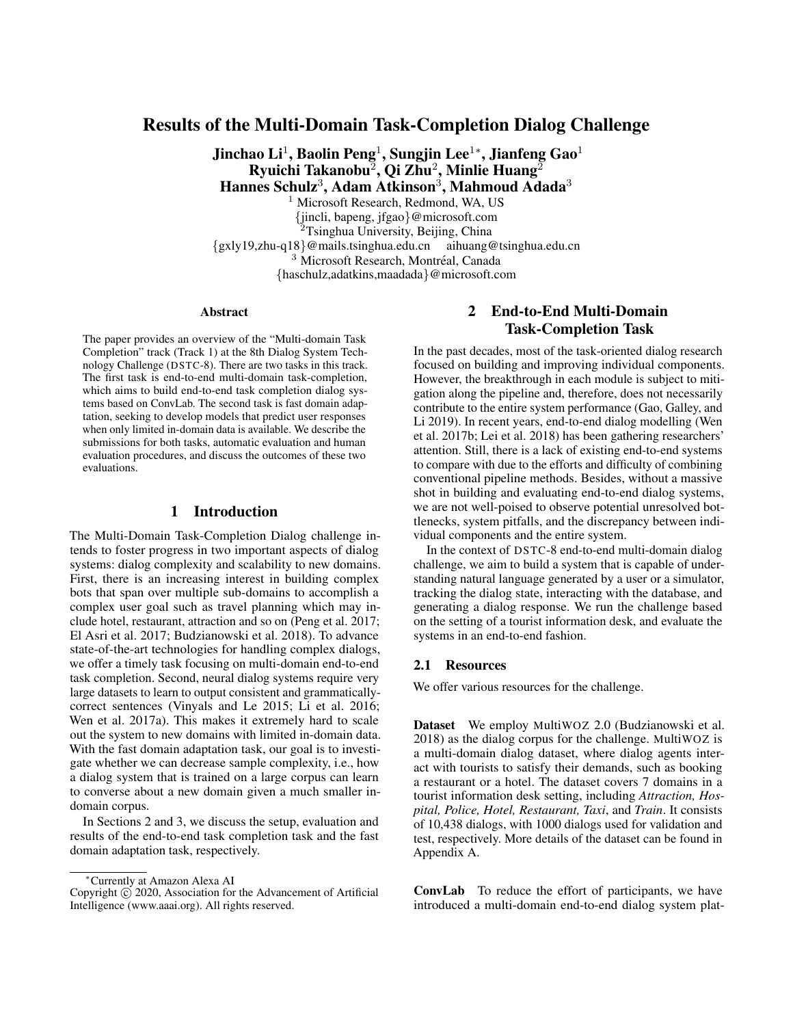Table 1: Automatic evaluation results. The results are from the best submissions from each group.

| Team      | $SR\%$ | Rwrd    | Turns | P    | R    | F1   | BR%   |
|-----------|--------|---------|-------|------|------|------|-------|
| 1         | 88.80  | 61.56   | 7:00  | 0.92 | 0.96 | 0.93 | 93.75 |
| 2         | 88.60  | 61.63   | 6.69  | 0.83 | 0.94 | 0.87 | 96.39 |
| 3         | 82.20  | 54.09   | 6.55  | 0.71 | 0.92 | 0.78 | 94.56 |
| 4         | 80.60  | 51.51   | 7:21  | 0.78 | 0.89 | 0.81 | 86.45 |
| 5         | 79.40  | 49.69   | 7.59  | 0.80 | 0.89 | 0.83 | 87.02 |
| 6         | 58.00  | 23.70   | 7:90  | 0.61 | 0.73 | 0.64 | 75.71 |
| 7         | 56.60  | 20:14   | 9.78  | 0.68 | 0.77 | 0.70 | 58.63 |
| 8         | 55.20  | 17:18   | 11.06 | 0.73 | 0.74 | 0.71 | 71.87 |
| 9         | 54.00  | 17:15   | 9.65  | 0.66 | 0.76 | 0.69 | 72.42 |
| 10        | 52.20  | 15:81   | 8:83  | 0.46 | 0.75 | 0.54 | 76.38 |
| 11        | 34.80  | $-6.39$ | 10:15 | 0.65 | 0.75 | 0.68 | N/A   |
| <b>BS</b> | 63.40  | 30.41   | 7.67  | 0.72 | 0.83 | 0.75 | 86.37 |

Abbreviations: BS: Baseline, SR: Success Rate, Rwrd: Reward, P/R: precision/recall of slots prediction, BR: Book Rate.

obtain the frequency of each slot in the dataset and then sample the user goal based on the slot distribution. We also add additional rules to remove inappropriate combinations (e.g., the user will not inform and inquire about the arrival time of a train in the same session). In the case that no matching database entry exists based on the sampled goal, we resample until there is an entity in the database that meets the new constraints. In this scenario, the user simulator first communicates based on the initial constraints. It then changes to the guaranteed constraints after the system informs it that the requests are not available.

We report a range of metrics including dialog success rate, return (reward), number of turns for dialog policy, book rate, and precision/recall/F1 score for intent/slot detection. In particular, the book rate evaluates whether the system has booked an entity that matches all the indicated constraints (e.g., a *Japanese* restaurant in a *moderate price range* in the *east area*). The score for slot detection evaluates whether the system has informed all the requested attributes (e.g., the *phone number* and the *address* of the restaurant). Success is achieved if and only if both the recall score for slot detection and book rate are 1.

Human Evaluation For the human evaluation, we host submitted systems in the back-end as bot services and crowdsource the work on Amazon Mechanical Turk. In each conversation, the system samples a goal and presents it to the MTurker with instructions. Then the MTurker communicates with the system via natural language to achieve the goal and judges the system based on the following metrics:

- *Dialog Success/Failure.* This metric judges whether the task goal is fulfilled.
- *Language Understanding Score.* This is a 5-point scale metric that evaluates whether the dialog agent understands user input. A score of 5 means the agent understands the utterances very well, while 1 means it does not understand at all.
- *Response Appropriateness Score.* This is a 5-point scale metric that evaluates whether the dialog response is appro-

priate in the conversation. A score of 5 means the response is exceptionally appropriate in the context, while 1 means purely inappropriate or off-topic.

The human evaluation environment on MTurk is illustrated on Fig. 1. We run 100 conversations for each system and report the best result for each team. For teams with a very similar success rate, we increase the number of conversations until we ensure the relative ranking is stable. Finally, we report metrics, including success rate, language understanding score, response appropriateness score, and the total number of turns.





(b) Human evaluation: conversation ends.

Figure 1: Human evaluation environment on MTurk

## 2.4 Results

be:

We received 38 submissions from 12 teams. We employed automatic evaluation on all submissions and sent 25 out of 38 submissions to human evaluation. In addition to the submitted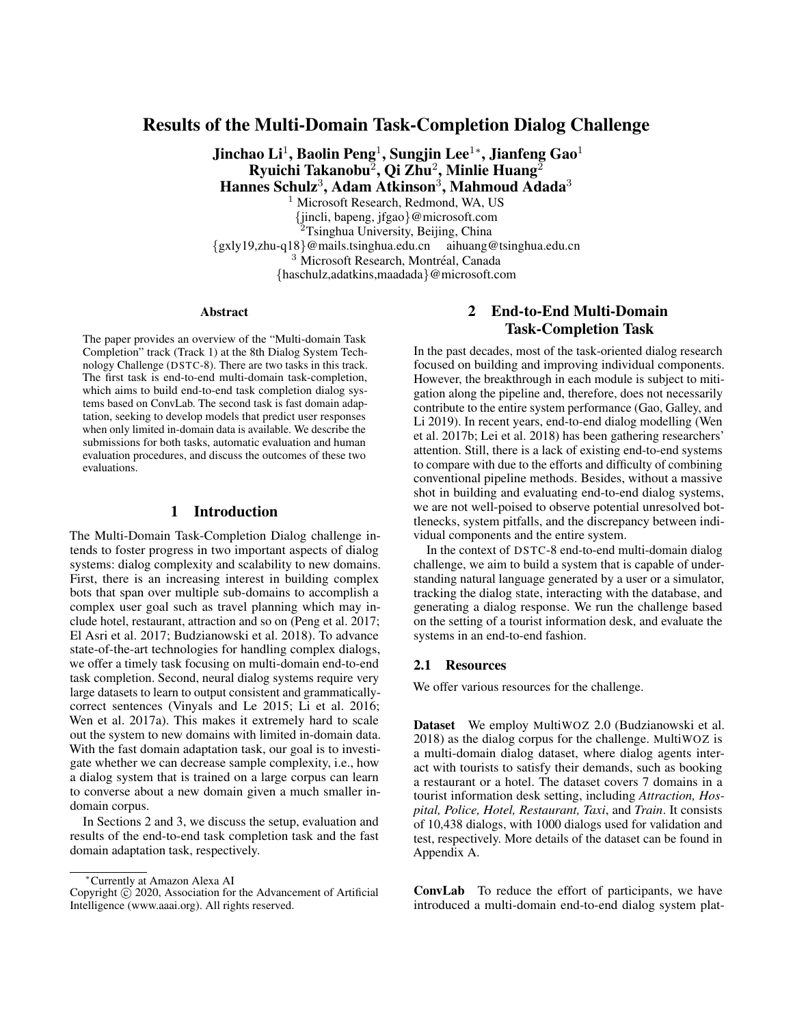Table 2: Human evaluation results. The results are from the best submissions from each group.

| Team            | SR%   | Under. | Appr. | Turns | Final Ranking |
|-----------------|-------|--------|-------|-------|---------------|
| 5               | 68.32 | 4.15   | 4.29  | 19.51 | 1             |
|                 | 65.81 | 3.54   | 3.63  | 15.48 | 2             |
| 2               | 65.09 | 3.54   | 3.84  | 13.88 | 3             |
| 3               | 64.10 | 3.55   | 3.83  | 16.91 | 4             |
| 4               | 62.91 | 3.74   | 3.82  | 14.97 | 5             |
| 10              | 54.90 | 3.78   | 3.82  | 14.11 | 6             |
| 6               | 43.56 | 3.55   | 3.45  | 21.82 | 7             |
| 11              | 36.45 | 2.94   | 3.10  | 21.13 | 8             |
| 7               | 25.77 | 2.07   | 2.26  | 16.80 | 9             |
| 8               | 23.30 | 2.61   | 2.65  | 15.33 | 10            |
| 9               | 18.81 | 1.99   | 2.06  | 16.11 | 11            |
| <b>Baseline</b> | 56.45 | 3.10   | 3.56  | 17.54 | N/A           |

Abbreviations: Under.: understanding score, Appr.: appropriateness score, SR: success rate.

systems, we also evaluated our baseline system for reference purposes. Tables 1 and 2 list the evaluation results with team names anonymized according to the policy of DSTC.

As listed in Tables 1 and 2, 5 teams have surpassed our baseline in both automatic evaluation and human evaluation. Most of these teams build the dialog system using a modular architecture, with a focus on improving NLU with BERT. For modules including DST, policy, and NLG, we do not see much advantage of using a model-based approach over a rule-based approach.

Team 1 achieves the best success rate of 88.80% in automatic evaluation by employing a component-wise system with a BERT-based NLU model and elaborated rule-based models on dialog policy, dialog state tracker, and NLG. However, there are discrepancies between human evaluation and simulator-based automatic evaluation. The best system in human evaluation is Team 5. It is fine-tuned based on GPT-2 to predict dialog states, system actions, and responses. The GPT-2 model is pre-trained with much larger datasets and thus contain more substantial information and achieve a better success rate of 68.32%. It also achieves the best language understanding and response appropriateness score in the human evaluation as illustrated in Figs. 2 and 3, which is significantly higher than other top teams. This demonstrates the potential of using a pre-trained model to improve both language understanding and response generation in task completion dialogs.

Besides, as we can observe from Table 2, the rankings of Team 10 and 11 in human evaluation also increase significantly when compared with automatic evaluation. It indicates that the user simulator might be too restricted to the existing dataset, and there is potential to build a better user simulator. It also indicates that we need to consider better automatic evaluation metrics.

## 3 Fast Domain Adaptation Task

Goal-oriented dialog systems can be challenging to bootstrap: for a new domain, little data is available to train a natural language understanding (NLU) module or other parts of the pipeline. Often, a Wizard-of-Oz (WOz, Kelley 1984) schema



Figure 2: Top 5 teams regarding *language understanding*.



Figure 3: Top 5 teams regarding *response appropriateness*.

can be used to obtain some initial test data; however, this requires training human agents for the task and setting up a complex pipeline. The value of WOz data is limited, since "users" are mostly hired and might not conform to real users. Additionally, any change in the chatbot interface requires collecting more data.

In the context of the DSTC-8 domain adaptation challenge, we aim to build models that predict user responses to a goaloriented dialog system for which only limited in-domain data is available. Such data could be collected from e.g. customer service transcripts, or written by the developers themselves. From this in-domain data, the *support set*, we would like to extrapolate responses to novel dialog contexts (the *target*). Typically the support set is too small to train a generative dialog model; instead, we adapt a generic dialog model trained on a large corpus of conversations over multiple *source* domains.

Technically, the problem setup is as follows: having trained the base model on the source domains, the model is then fed with one target dialog and a support set at a time. The model's task is to predict the next user turn of the target dialog, taking into account the support set before producing a prediction. At prediction time, each target dialog is processed in isolation from other target dialogs, such that the model cannot use knowledge or state obtained from other target/support data.

#### 3.1 Resources

For this challenge, we employ three different datasets. A Reddit-based corpus is suggested to learn language models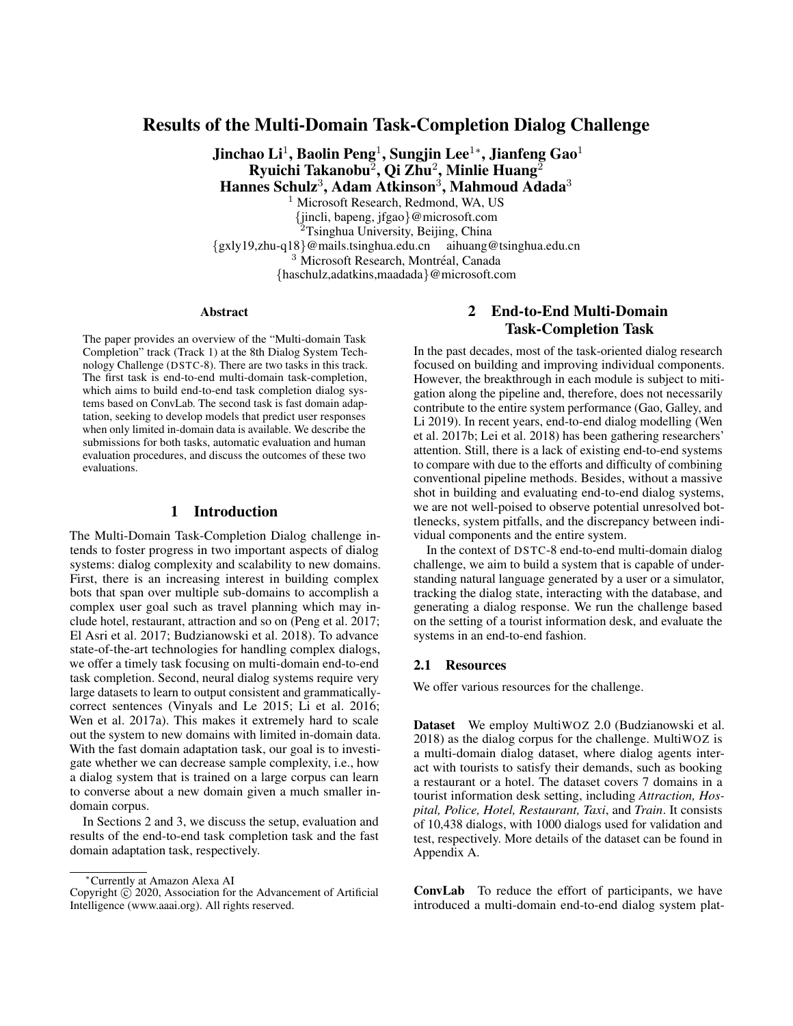and generic conversational skills; the diverse content of its various topics ("subreddits") can also be used to train domain adaptation. The MetaLWOz corpus is used to learn domain adaptation on a smaller, but *goal-oriented* corpus. Finally, evaluation (Section 3.2) is performed on a held-out subset of MetaLWOz domains (human evaluation) and a domain-pure subset of the MultiWOZ (Budzianowski et al. 2018) corpus (automatic evaluation).

Reddit Corpus We constructed a corpus of dialogs from Reddit submissions and comments spanning one year of data. Content is selected from a curated list of one thousand hightraffic subreddits. Our extraction and filtering methodology is based on that used in the DSTC-7 sentence generation task (Galley et al. 2019), the key difference being we sample at most two threads per submission. The corpus consists of five million training dialogs, with an additional one million dialogs reserved for validation. We provide pre-processing  $\text{code}^2$  for Reddit data so that all participants can work on the same corpus.

Goal-Oriented Corpus MetaLWOz We collected 40 203 goal-oriented dialogs<sup>3</sup> via crowd-sourcing using a *Wizard of Oz*, or WOz scheme. These dialogs span 51 domains – like bus schedules, apartment search, alarm setting, banking and event reservation – and are particularly suited for metalearning dialog models.

For each dialog we paired two crowd-workers, giving one the role of the bot and the other the human user, and assigned them a domain and task specifications to guide their exchange. We defined several tasks per domain to prompt more diverse discussions; one example task for the bus schedule domain is: *"Inform the user that the bus stop they are asking about has been moved two blocks north"* on the bot side, and *"Ask if a certain bus stop is currently operational"* on the user side.

Note that all entities were invented by the crowd-workers (for instance, the address of the bus stop), with no slots or dialog acts annotated. The goal of this challenge is to produce convincing user utterances and not the bot utterances.

An additional four MetaLWOz domains (*booking flight, hotel reserve, tourism,* and *vacation ideas*) were reserved for testing. See Appendix B for more details.

Domain-pure MultiWOZ Corpus From the MultiWOZ (Budzianowski et al. 2018) corpus, we selected dialogs which, apart from generic responses, only pertain to a single domain (*hospital, train, police, hotel, restaurant, attraction,* and *taxi*)

For both test sets, we randomly pick a single turn in each dialog and ask users to predict it given the preceding turns and a set of 128 support dialogs from the same domain. On MetaLWOz, we further distinguish two settings: *pure-task*, where support dialogs come from the same task, and *crosstask*, where support dialogs come from different tasks.

**Baseline** We provided a baseline model  $b(c; S)$ , a retrieval model that relies on FastText (Bojanowski et al. 2017) embeddings of SentencePiece (Kudo and Richardson 2018) tokens. To generate a response for the context  $c$ , it computes the minimum cosine distance between  $c$  and all in-domain dialog contexts given in the support set S:

$$
b(c; S) = \arg\min_{s \geq S, 0 < t < j \leq j} \cos(\text{emb}(c); \text{emb}(s_{:t})) \tag{1}
$$
\n
$$
\text{emb}(c) = \frac{1}{|c|} \frac{\dot{x}^j}{t=0} \frac{1}{|c_t|} \frac{\dot{x}^t}{t=0} \text{fasttext}(\text{sentencepiece}_i(c_t));
$$

$$
(2)
$$

where  $|c|$  is the number of dialog turns in context c,  $|c_t|$  the number of SentencePiece tokens in dialog turn  $c_t$ , and  $s_t$  represents all turns of  $s \in S$  before turn t. The FastText model was trained on the Reddit corpus. We also provided a similar baseline using BERT (Devlin et al. 2019) embeddings. However, we found the BERT baseline to perform significantly worse than SentencePiece/FastText on automatic metrics, and therefore excluded it from the human evaluation.

#### 3.2 Evaluation Methods

Measuring the quality of dialog responses using machines is an open problem (Lowe et al. 2017; Sai et al. 2019; Dziri et al. 2019). Word overlap metrics such as BLEU (Papineni et al. 2002) or METEOR (Lavie and Agarwal 2007) correlate reasonably well with human judgements on machine translation tasks (Graham and Baldwin 2014). However, for dialogs, vastly different responses work for a given context. Worse, even appropriate responses may be lacking in informativeness or usefulness. Currently human evaluation on multiple axes remains the most reliable way to compare systems (Liu et al. 2016; Novikova et al. 2017). We therefore base our final ranking on human ratings on MetaLWOz alone.

As human evaluation is costly, we also publish automatic evaluation scores for all tasks. Here, we rely on an intent and slot detection model trained on the MultiWOZ corpus.

Following the practice of past DSTC competitions, we anonymize team names for this summary paper.

Automatic Metrics For automatic evaluation metrics, we make use of the fact that dialogs in the MetaLWOz corpus are *goal-oriented* dialogs. Even if they are not annotated in MetaLWOz, every domain should have a number of intents, slots, and values, that the domain-adapted dialog system should be able to handle. We can thus use a target domain with annotations and compare whether the dialog system is able to produce similar intents and slots as the ground truth response. Note that since the dialog system does not have access to the user goal specification, we cannot hope to correctly predict slot values.

To detect intents and slots in the submitted responses, we used the natural language understanding (NLU) component from ConvLab (Lee et al. 2019), a variant of OneNet (Kim, Lee, and Stratos 2017). This NLU is also used in the baseline of the End-to-End Multi-Domain dialog System challenge of DSTC-8.

Automatic evaluation results are shown in Table 3.

<sup>2</sup> https://github.com/Microsoft/dstc8-reddit-corpus

<sup>&</sup>lt;sup>3</sup>https://aka.ms/metalwoz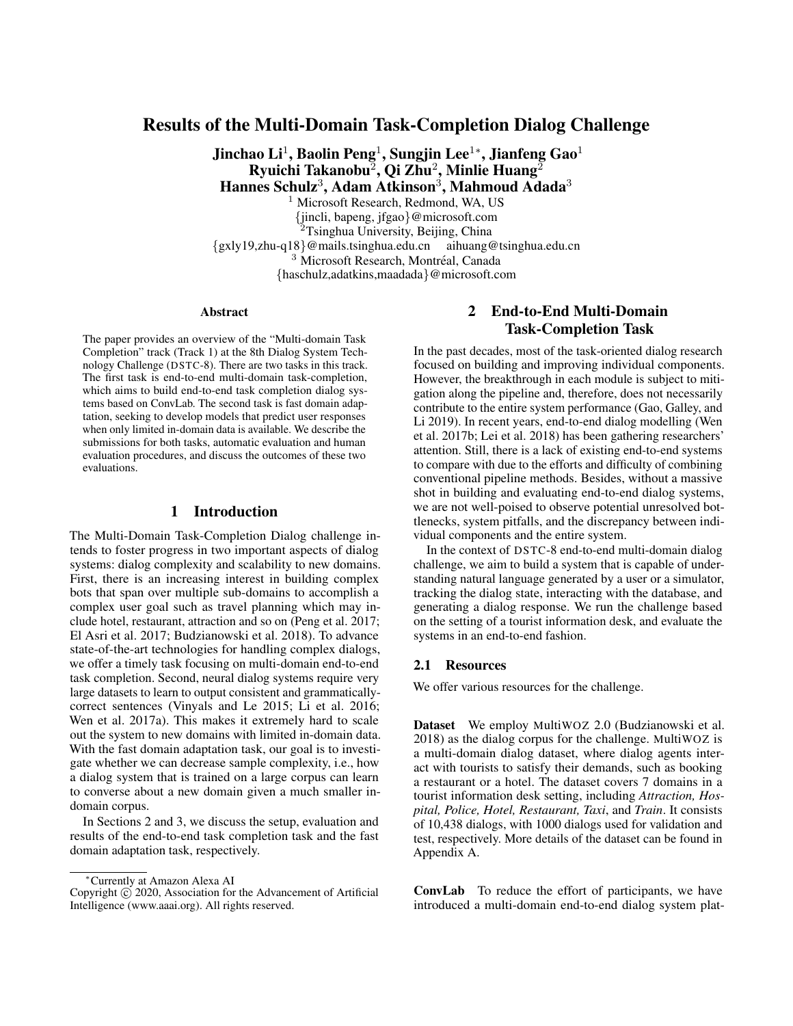Table 3: Automatic evaluation results on MultiWOZ

| Submission            | Intent F1 | Intent $&$ Slot F1 |
|-----------------------|-----------|--------------------|
| Team A                | 0.79      | 0.60               |
| Team B                | 0.64      | 0.48               |
| Team C                | 0.61      | 0.42               |
| Team D                | 0.55      | 0.42               |
| Baseline <sup>1</sup> | 0.52      | 0.27               |
| Baseline (BERT)       | 0.47      | 0.20               |

<sup>1</sup> FastText and SentencePiece, same as in human evaluation

| Read the conversation between a user and bot, then select the response that best<br>answers the question [Q] near the bottom of the page.                                                                                                                                                          |                                         |                                                                                 |  |  |  |
|----------------------------------------------------------------------------------------------------------------------------------------------------------------------------------------------------------------------------------------------------------------------------------------------------|-----------------------------------------|---------------------------------------------------------------------------------|--|--|--|
| Background Information:                                                                                                                                                                                                                                                                            |                                         |                                                                                 |  |  |  |
| • Conversation<br>Topic:                                                                                                                                                                                                                                                                           | <b>Vacation ideas</b>                   |                                                                                 |  |  |  |
| • User Task:                                                                                                                                                                                                                                                                                       |                                         | You are interacting with a bot that provides ideas for vacations and trips      |  |  |  |
| • Bot Task:                                                                                                                                                                                                                                                                                        | to book them                            | You are a bot that provides ideas for vacations and trips, but you are not able |  |  |  |
| Conversation:                                                                                                                                                                                                                                                                                      |                                         |                                                                                 |  |  |  |
| • [ Bot ]: Hello how may I help you?<br>. [User]: I want to take my family to see some cool museums this summer.<br>• [ Bot ]: Sure, I can't book your trip but I can help you decide, Is that OK?<br>• [User]: That works I guess<br>• [ Bot ]: Ok. What kind of museums would you like to visit? |                                         |                                                                                 |  |  |  |
| are open to the public.                                                                                                                                                                                                                                                                            | [User]: I want to see some museums that | ○ [User]: Any kind.                                                             |  |  |  |
| [Q]: Which response is more appropriate to the conversation?<br>(In other words: "Does the response make sense in the context of the conversation and its background?"<br>If you think both responses are equal, please select one at random.<br><b>Submit</b>                                     |                                         |                                                                                 |  |  |  |

Figure 4: Screenshot of the interface used by human judges to compare two responses for a given dialog context regarding *appropriateness* of the response.

Human Evaluation We follow Thurstone (1927) and ask human judges to perform pairwise comparisons between two responses given the previous dialog context. Since a single metric is not enough (e.g. "i don't know" can be appropriate but not informative), we rate response pairs along  $M=4$ different axes: informativeness, appropriateness, usefulness and answerability. Initially we also considered grammaticality, but decided to exclude it since all submissions produced grammatical responses. Specifically, we presented the previous dialog turns, the user and wizard tasks, and pairs of responses in random order (Fig. 4). We then asked judges to rank the responses according to the following statements:

1. The response is *useful* to the user, given their user task. A useful response has some of these qualities: relates to what user wants; is specific and fills in or requests information; makes a decision; helps move the conversation towards fulfilling or completing the user's goal. A useless response is indecisive, uncooperative, or detracts from the user's goal.

- 2. The response contains *information* or facts that are related to the conversation. An informative response has some of these qualities: mentions entities and values, e.g. dates, names, places, things; refers to things mentioned previously in the dialog; refers to things in the user or bot's task specification. An uninformative response is vague, general, or interjects irrelevant facts.
- 3. The response is *appropriate* to the conversation. An appropriate response generally makes sense in the context of the conversation. An inappropriate response is off topic, too long or too short, or too repetitive.
- 4. The response is *easy for the bot to answer*, given the bot's task and what would be reasonable for a robot agent like this to understand. An answerable response has some of these qualities: is worded in an approachable way without being too complicated; fits within the parameters of what the bot is capable of answering; is specific, fills in information, or makes a decision; helps move the conversation along. A response that is difficult to answer maybe obtuse, verbose, or philosophical.

We provided one hit-app per metric, so that in a single session, judges ranked responses only for a single metric. Preliminary experiments showed that this strongly increased agreement between judges. For ties we asked judges to pick randomly.

We randomly<sup>4</sup> select a set of  $C=100$  dialog contexts from the MetaLWOz test domains for human evaluation. For each dialog context and metric combination, we aim to produce one ranking over the  $S=6$  submissions. Each pair is judged  $K=3$  times, which would require a total of  $KMCS(S - 1)=2 = 18000$  comparisons. We reduce the number of comparisons by letting the *Multisort* algorithm (Maystre and Grossglauser 2017) determine which responses to compare. In practice, we first sample an initial pairing  $(s_i; s_j)$  for each dialog context c and metric m, then rank them by majority vote of the  $K$  judges,

$$
S_i <_{cm}^{\text{human}} S_j := \begin{cases} 1 & \text{if} & \text{if } s_i <_{cmk}^{\text{human}} S_j > \frac{K}{2} \\ 0 & \text{else} > \end{cases} \tag{3}
$$

where  $(s_i \leq_{cmk}^{human} s_j) \in \{0, 1\}$  is given by the k-th crowd worker response. All consecutive pairs are then determined by running the QuickSort algorithm in parallel for each dialog context-metric combination, using  $\langle \frac{\text{human}}{\text{cm}} \rangle$  as the comparison operator. With this scheme, we ran 15 iterations totaling 11 610 comparisons—64:5 % of comparisons required by the naïve algorithm. 381 unique users participated in the evaluation, with 198 users judging at least the median number of 12 pairs. The final ranking (Table 5) was produced using Copeland's method (Copeland 1951): The method assigns each submission  $S_i$  a score  $C(S_i)$  that corresponds to the sum of the number of submissions it beats in the collected

<sup>4</sup>We picked fewer dialog contexts where the final response was supposed to be predicted, since those almost exclusively contain variations of "thank you". To allow for minimal context, we also did not evaluate the first response after the bot's "How may I help you?" message.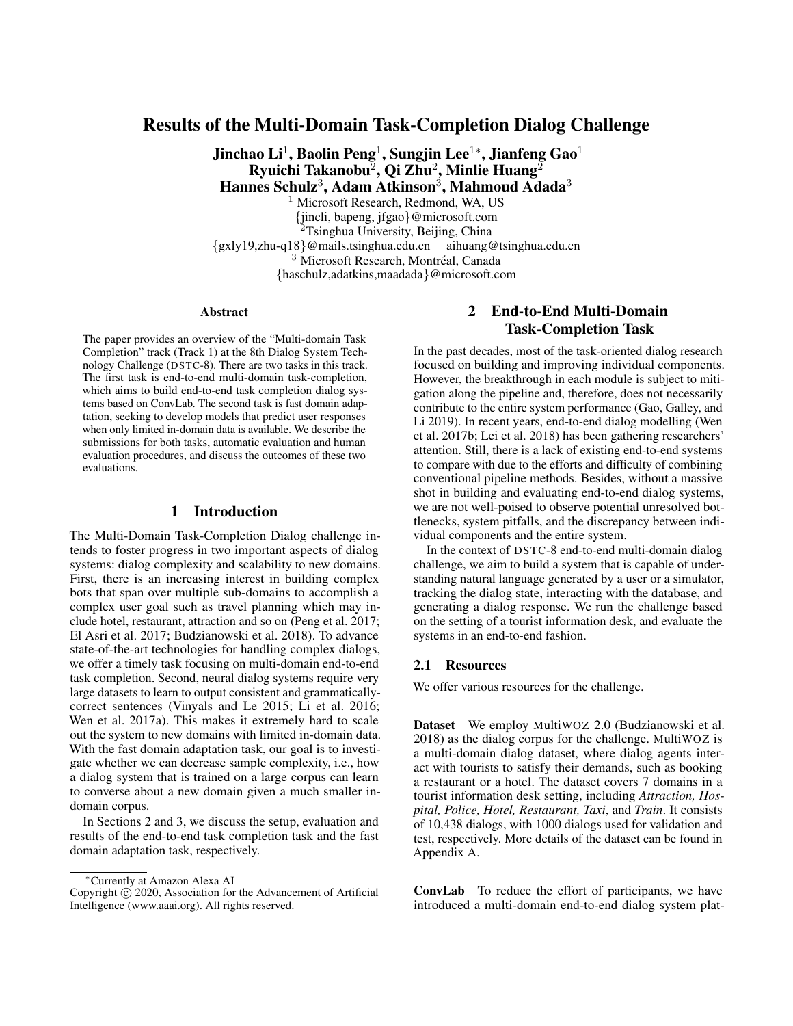Table 4: Agreement between judges

| Metric         |       | P(A)  | P(E)  |
|----------------|-------|-------|-------|
| Appropriate    | 0.310 | 0.658 | 0.504 |
| Easy to answer | 0.288 | 0.647 | 0.504 |
| Informative    | 0.298 | 0.656 | 0.510 |
| Useful         | 0.250 | 0.633 | 0.510 |
| Overall        | 0.287 | 0.648 | 0.507 |

rankings,

$$
C(s_i) = \begin{cases} \nX & X \quad \mathcal{X} \\ \n\text{S}_i \in S_i & \text{if } n = 1 \text{ and } n = 1 \text{ and } n = 1 \text{ and } n = 1 \text{ and } n = 1 \text{ and } n = 1 \text{ and } n = 1 \text{ and } n = 1 \text{ and } n = 1 \text{ and } n = 1 \text{ and } n = 1 \text{ and } n = 1 \text{ and } n = 1 \text{ and } n = 1 \text{ and } n = 1 \text{ and } n = 1 \text{ and } n = 1 \text{ and } n = 1 \text{ and } n = 1 \text{ and } n = 1 \text{ and } n = 1 \text{ and } n = 1 \text{ and } n = 1 \text{ and } n = 1 \text{ and } n = 1 \text{ and } n = 1 \text{ and } n = 1 \text{ and } n = 1 \text{ and } n = 1 \text{ and } n = 1 \text{ and } n = 1 \text{ and } n = 1 \text{ and } n = 1 \text{ and } n = 1 \text{ and } n = 1 \text{ and } n = 1 \text{ and } n = 1 \text{ and } n = 1 \text{ and } n = 1 \text{ and } n = 1 \text{ and } n = 1 \text{ and } n = 1 \text{ and } n = 1 \text{ and } n = 1 \text{ and } n = 1 \text{ and } n = 1 \text{ and } n = 1 \text{ and } n = 1 \text{ and } n = 1 \text{ and } n = 1 \text{ and } n = 1 \text{ and } n = 1 \text{ and } n = 1 \text{ and } n = 1 \text{ and } n = 1 \text{ and } n = 1 \text{ and } n = 1 \text{ and } n = 1 \text{ and } n = 1 \text{ and } n = 1 \text{ and } n = 1 \text{ and } n = 1 \text{ and } n = 1 \text{ and } n = 1 \text{ and } n = 1 \text{ and } n = 1 \text{ and } n = 1 \text{ and } n = 1 \text{ and } n = 1 \text{ and } n = 1 \text{ and } n = 1 \text{ and } n = 1 \text{ and } n = 1 \text{ and } n = 1 \text{ and } n = 1 \text{ and } n = 1 \text{ and } n = 1 \text{ and } n = 1 \text{ and } n = 1 \text{ and } n =
$$

where  $\langle \xi_m^{\text{qs}} \rangle$  denotes the sort order determined by QuickSort, and ranks the submissions by  $C(\cdot)$ .

Human Evaluation Robustness Agreement between judges can be quantified with Cohen's kappa coefficient (Cohen 1960; Callison-Burch et al. 2011), defined as

$$
=\frac{P(A)-P(E)}{1-P(E)};
$$
\n(5)

where  $P(A)$  is the empirical rate of two annotators agreeing with each other, and  $P(E)$  is the probability of annotators agreeing by chance. For our binary choice,

$$
P(E) = P^2(A < B) + P^2(A > B) \tag{6}
$$

The agreement results are shown in Table 4. Note that a of 0.29 corresponds to all three annotators agreeing on a binary choice roughly 16 % of the time.

Our agreement scores may have been higher had we included the option to tie two systems on a given output; however, in preliminary trials with ties permitted we found that users had strong preferences, with ties comprising < 10% of all judgements. Moreover the underlying QuickSort sampling algorithm of the *Multisort* collection procedure randomly orders equal elements, so the more discriminative users would improve the truthfulness of the final rankings.

We rely on *Multisort*, which has been shown to be robust to noisy comparisons (Maystre and Grossglauser 2017). As expected, we observe that systems that are closer in our final rankings were compared more often by the active collection procedure. System pairs that differed by one or two in the final ranking were compared 20% more often on average than the worst system and ground-truth responses.

In addition to the Copeland aggregation, we can compute the win rate (Callison-Burch et al. 2011). This measures how often a submission won a direct comparison with any other submission. Note that the win rate is affected by the active selection of comparisons, i.e., similarly ranked entries are compared more often. A ranking induced by win rates is listed in Table 5 and is consistent with the overall ranking.

To assess the robustness of our rankings, we used *n-out-ofn* bootstrapping (Hall, Miller, and others 2009). Specifically, we sample 1000 times with replacement from the C randomly

Table 5: Human Evaluation Ranking

| Submission      | Mean Bootstrap<br>Rank | Win Rate <sup>1</sup><br>(%) | Final<br>Rank |
|-----------------|------------------------|------------------------------|---------------|
| Gold            | 1.00                   | 62.3                         | $\mathbf{I}$  |
| Team B          | 2.01                   | 56.9                         | 2             |
| Team C          | 2.99                   | 52.1                         | 3             |
| Team A          | 4.03                   | 47.4                         |               |
| <b>Baseline</b> | 4.97                   | 44.2                         | 5             |
| Team D          | 6.00                   | 37.3                         |               |

<sup>1</sup> based on all evaluations of  $\lt_{cm}^{\text{human}}$ , see Eq. (3)

chosen dialog contexts, obtain the corresponding rankings and rerun Copeland's method. Mean bootstrap ranks resulting from resampling are listed in Table 5. On the chosen dialogs, it appears that the submission ordering is quite stable. Ranking within subsets (MetaLWOz task, metric and turn) usually follow global ranking order with some exceptions, e.g. in the *pure* task setting and in the *easy to answer* metric, some lower ranks flip (cf. Table 6). Visualization and discussion of the bootstrapping outcome distribution with regards to various dataset partition schemes can be found in Appendix B.5. We also find that the ordering is robust for a wide range of sample sizes (data not shown).

#### 3.3 Results

Submissions We received four unique submissions for the fast-adaptation task, comprised of Transformer and BiLSTMbased sequence-to-sequence models.

- Team A trained a BiLSTM on our Reddit corpus, then finetune the model at test-time using a mixture of MetaLWOz or MultiWOZ support dialogs, augmented to the context of the target dialog, and dynamically-sampled Reddit threads.
- Team B developed a hybrid retrieval and generation model. They fine-tuned a GPT-2 model on the MetaLWOz training corpus with additional objectives for response token likelihood and next-sentence prediction (NSP). At testtime the model retrieves the response of the support dialog that is most similar to the target dialog, then compares it to a response generated to the target using the NSP head.
- Team C first fine-tune GPT-2 on the MetaLWOz training corpus, then fine-tune the model further on the support sets of the MetaLWOz and MultiWOZ test sets.
- Team D trained a BiLSTM encoder and attentional LSTM decoder on both the Reddit and MetaLWOz training corpora, without any fine-tuning to the test sets.

Discussion The submissions generally surpassed our baselines, with two models clearly outperforming the others on either automated or human evaluation metrics. Team A achieved the highest NLU scores by a large margin, on both intent F1 and joint intent + slot F1.

Similar to Task 1 (Section 2), we observe differences between automatic and human evaluation. Though Team A clearly led when measured on automated metrics, they rank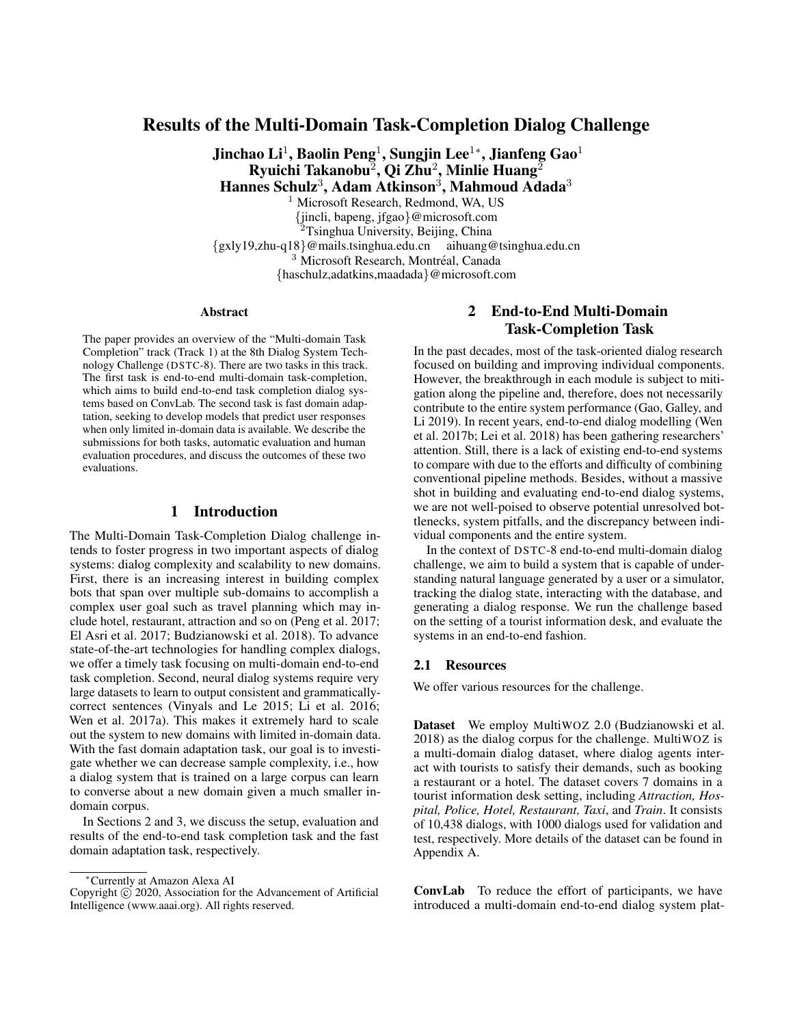Table 6: Human evaluation rankings

|                | Rank |  |             |  |                     |                 |  |
|----------------|------|--|-------------|--|---------------------|-----------------|--|
|                |      |  | $2 \t3 \t4$ |  | -5                  | 6               |  |
| <b>Metric</b>  |      |  |             |  |                     |                 |  |
| Appropriate    |      |  |             |  | Gold B C A Baseline | D               |  |
| Easy to answer |      |  |             |  | Gold B C A D        | <b>Baseline</b> |  |
| Informative    |      |  |             |  | Gold B C A Baseline | D               |  |
| Useful         |      |  |             |  | Gold B C A Baseline | D               |  |
| <b>Testset</b> |      |  |             |  |                     |                 |  |
| Pure task      |      |  |             |  | Gold B A C Baseline | D               |  |
| Cross task     |      |  |             |  | Gold B C A Baseline | D               |  |
| Overall)       |      |  |             |  | Gold B C A Baseline | D               |  |

third in human evaluation, behind Teams B and C in the overall ranking. The discrepancy here can be attributed both to different characteristics of the underlying datasets and the need for better automatic metrics in dialog systems (Liu et al. 2016). In human evaluation, Team B emerged as the clear winner when its responses were judged on the criteria in Section 3.2; this result is stable when bootstrapping the selection of dialogs used to compute the *Multisort* ranking, and partitioning the rankings by metric or test set (cf. Table 6). This ranking order is preserved under an alternative ranking scheme, defined by overall win-rate (Table 5).

None of the systems were able to surpass the quality of ground-truth responses of the MetaLWOz test set, when evaluated by human judges and ranked across various strata. Our results indicate that these machine-learned dialog models fall below human parity.

## 4 Conclusion

In this paper, we summarized the end-to-end multi-domain task completion task and the fast domain adaptation task at the eighth dialog system technology challenge (DSTC-8). The end-to-end multi-domain task completion task challenged participants to create an end-to-end dialog system based on ConvLab with the system evaluated in an end-toend fashion. The discrepancy between automatic evaluation and human evaluation indicates the necessity of improving user simulators in the future, and the success of GPT-2 in human evaluation demonstrated the potential of leveraging pretrained models in dialog. In the fast domain adaptation task, most submissions used some form of fine-tuning to adapt their pre-trained models. Submissions based on BiLSTM and GPT-2 dominated automatic and human evaluation, respectively.

## References

Bojanowski, P.; Grave, E.; Joulin, A.; and Mikolov, T. 2017. Enriching word vectors with subword information. *Transactions of the Association for Computational Linguistics* 5:135– 146.

Budzianowski, P.; Wen, T.-H.; Tseng, B.-H.; Casanueva, I.; Ultes, S.; Ramadan, O.; and Gašić, M. 2018. Multiwoz-

a large-scale multi-domain wizard-of-oz dataset for taskoriented dialogue modelling. *Proc. Conf. on Empirical Methods in Natural Language Processing (EMNLP)*.

Callison-Burch, C.; Koehn, P.; Monz, C.; and Zaidan, O. 2011. Findings of the 2011 workshop on statistical machine translation. In *Proc. of the Sixth Workshop on Statistical Machine Translation*.

Chen, W.; Chen, J.; Qin, P.; Yan, X.; and Wang, W. Y. 2019. Semantically conditioned dialog response generation via hierarchical disentangled self-attention. In *Proc. Conf. Association for Computational Linguistics (ACL)*.

Cohen, J. 1960. A coefficient of agreement for nominal scales. *Educational and psychological measurement* 20(1):37–46.

Copeland, A. H. 1951. A 'reasonable' social welfare function. In *Seminar on Mathematics in Social Sciences*. U. Michigan.

Devlin, J.; Chang, M.; Lee, K.; and Toutanova, K. 2019. BERT: pre-training of deep bidirectional transformers for language understanding. In *Proc. Conf. North American Chapter of the Association for Computational Linguistics: Human Language Technologies (NAACL-HLT)*.

Dziri, N.; Kamalloo, E.; Mathewson, K. W.; and Zaïane, O. R. 2019. Evaluating coherence in dialogue systems using entailment. In *Proc. Conf. North American Chapter of the Association for Computational Linguistics: Human Language Technologies (NAACL-HLT)*.

El Asri, L.; Schulz, H.; Sharma, S.; Zumer, J.; Harris, J.; Fine, E.; Mehrotra, R.; and Suleman, K. 2017. Frames: a corpus for adding memory to goal-oriented dialogue systems. In *Proc. Meeting on Discourse and Dialogue (SIGDIAL)*.

Galley, M.; Brockett, C.; Gao, X.; Gao, J.; and Dolan, B. 2019. Grounded response generation task at dstc7. In *AAAI Dialog System Technology Challenges Workshop*.

Gao, J.; Galley, M.; and Li, L. 2019. Neural approaches to conversational ai. *Foundations and Trends*( $\widehat{R}$ ) in Information *Retrieval* 13(2-3):127–298.

Graham, Y., and Baldwin, T. 2014. Testing for significance of increased correlation with human judgment. In *Proc. Conf. on Empirical Methods in Natural Language Processing (EMNLP)*.

Hall, P.; Miller, H.; et al. 2009. Using the bootstrap to quantify the authority of an empirical ranking. *The Annals of Statistics* 37(6B):3929–3959.

Hester, T.; Vecerík, M.; Pietquin, O.; Lanctot, M.; Schaul, T.; Piot, B.; Horgan, D.; Quan, J.; Sendonaris, A.; Osband, I.; Dulac-Arnold, G.; Agapiou, J.; Leibo, J. Z.; and Gruslys, A. 2018. Deep q-learning from demonstrations. In *Proc. Conf. on Artificial Intelligence (AAAI)*.

Kelley, J. F. 1984. An iterative design methodology for userfriendly natural language office information applications. In *ACM Transactions on Information Systems*.

Kim, Y.; Lee, S.; and Stratos, K. 2017. Onenet: Joint domain, intent, slot prediction for spoken language understanding. In *Automatic Speech Recognition and Understanding Workshop*.

Kudo, T., and Richardson, J. 2018. SentencePiece: A simple and language independent subword tokenizer and detokenizer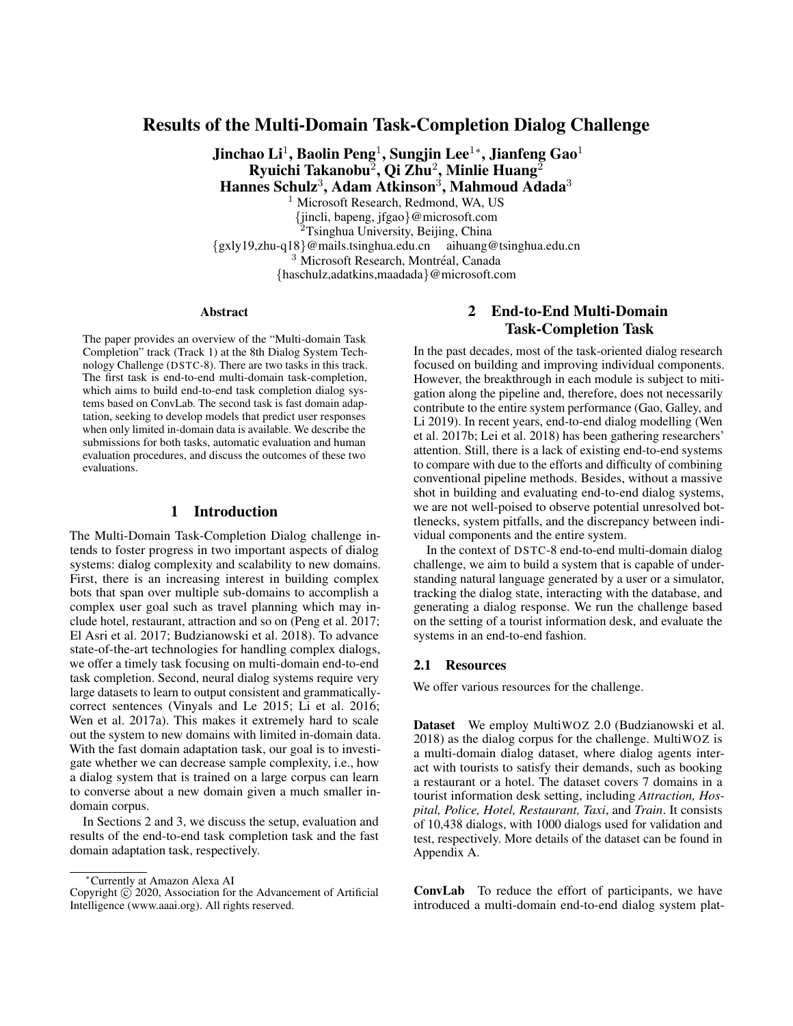for neural text processing. In *Proc. Conf. on Empirical Methods in Natural Language Processing (EMNLP)*.

Lavie, A., and Agarwal, A. 2007. Meteor: An automatic metric for mt evaluation with high levels of correlation with human judgments. In *Proc. of the Workshop on Statistical Machine Translation*.

Lee, S.; Zhu, Q.; Takanobu, R.; Zhang, Z.; Zhang, Y.; Li, X.; Li, J.; Peng, B.; Li, X.; Huang, M.; and Gao, J. 2019. ConvLab: Multi-domain end-to-end dialog system platform. In *Proc. Conf. Association for Computational Linguistics (ACL): System Demonstrations*.

Lee, H.; Lee, J.; and Kim, T.-Y. 2019. Sumbt: Slot-utterance matching for universal and scalable belief tracking. In *Proc. Conf. Association for Computational Linguistics (ACL)*.

Lei, W.; Jin, X.; Kan, M.-Y.; Ren, Z.; He, X.; and Yin, D. 2018. Sequicity: Simplifying task-oriented dialogue systems with single sequence-to-sequence architectures. In *Proc. Conf. Association for Computational Linguistics (ACL)*.

Li, J.; Monroe, W.; Ritter, A.; Galley, M.; Gao, J.; and Jurafsky, D. 2016. Deep reinforcement learning for dialogue generation. In *Proc. Conf. on Empirical Methods in Natural Language Processing (EMNLP)*.

Liu, C.-W.; Lowe, R.; Serban, I.; Noseworthy, M.; Charlin, L.; and Pineau, J. 2016. How not to evaluate your dialogue system: An empirical study of unsupervised evaluation metrics for dialogue response generation. In *Proc. Conf. on Empirical Methods in Natural Language Processing (EMNLP)*.

Lowe, R.; Noseworthy, M.; Serban, I. V.; Angelard-Gontier, N.; Bengio, Y.; and Pineau, J. 2017. Towards an automatic turing test: Learning to evaluate dialogue responses. In *Proc. Conf. Association for Computational Linguistics (ACL)*.

Maystre, L., and Grossglauser, M. 2017. Just sort it! a simple and effective approach to active preference learning. In *Proc. International Conference on Machine Learning (ICML)*.

Novikova, J.; Dušek, O.; Curry, A. C.; and Rieser, V. 2017. Why we need new evaluation metrics for nlg. In *Proc. Conf. on Empirical Methods in Natural Language Processing (EMNLP)*.

Papineni, K.; Roukos, S.; Ward, T.; and Zhu, W.-J. 2002. BLEU: a method for automatic evaluation of machine translation. In *Proc. Conf. Association for Computational Linguistics (ACL)*.

Peng, B.; Li, X.; Li, L.; Gao, J.; Celikyilmaz, A.; Lee, S.; and Wong, K.-F. 2017. Composite task-completion dialogue policy learning via hierarchical deep reinforcement learning. In *Proc. Conf. on Empirical Methods in Natural Language Processing (EMNLP)*.

Radford, A.; Wu, J.; Child, R.; Luan, D.; Amodei, D.; and Sutskever, I. 2018. Language models are unsupervised multitask learners. http://bit.ly/gpt\_openai.

Sai, A.; Gupta, M. D.; Khapra, M. M.; and Srinivasan, M. 2019. Re-evaluating ADEM: A deeper look at scoring dialogue responses. *CoRR* abs/1902.08832.

Sordoni, A.; Bengio, Y.; Vahabi, H.; Lioma, C.; Grue Simonsen, J.; and Nie, J.-Y. 2015. A hierarchical recurrent encoderdecoder for generative context-aware query suggestion. In *Proceedings of the 24th ACM International on Conference on Information and Knowledge Management*, 553–562. ACM.

Thurstone, L. L. 1927. A law of comparative judgment. *Psychological review* 34(4):273.

Vinyals, O., and Le, Q. V. 2015. A neural conversational model. *Proc. of the 31st International Conference on Machine Learning (JMLR: W&CP)*.

Wen, T.-H.; Miao, Y.; Blunsom, P.; and Young, S. 2017a. Latent intention dialogue models. In *Proc. International Conference on Machine Learning (ICML)*.

Wen, T.-H.; Vandyke, D.; Mrkšić, N.; Gasic, M.; Barahona, L. M. R.; Su, P.-H.; Ultes, S.; and Young, S. 2017b. A network-based end-to-end trainable task-oriented dialogue system. In *Conf. European Chapter of the Association for Computational Linguistics (EACL)*.

Zhao, T.; Xie, K.; and Eskénazi, M. 2019. Rethinking action spaces for reinforcement learning in end-to-end dialog agents with latent variable models. In *Proc. Conf. North American Chapter of the Association for Computational Linguistics: Human Language Technologies (NAACL-HLT)*.

## A MultiWOZ

MultiWOZ (Budzianowski et al. 2018) is a multi-domain human-human dialog dataset collected following the Wizardof-Oz set-up (Kelley 1984) in a tourist information desk setting. The dataset covers 7 domains, including *Attraction, Hospital, Police, Hotel, Restaurant, Taxi*, and *Train*. It consists of 10,438 dialogues, with the average number of turns as 8.93 and 15.39 for single and multi-domain dialogs, respectively, and 115,434 turns in total. Among all the dialogs, 3,406 are single-domain dialogs, and 7,032 are multi-domain dialogs. The validation and test sets have 1k examples each, only containing fully successful dialogs. Besides the dialog corpus, the dataset also provides domain knowledge that defines all the entities and attributes as the external database.

Each dialog consists of a goal, user/system utterances, and task description in natural language, which is presented to MTurkers working from the user side. The dialog state and system dialog acts are fully annotated in the original dataset. We also augmented user dialog acts as provided in ConvLab. A sample dialog of MultiWOZ with annotation can be found in Table 7. For a complete description of the dataset, please refer to (Budzianowski et al. 2018).

## B MetaLWOz

## B.1 Collection Details

MetaLWOz is comprised of conversations between 194 unique fluent English-speaking users, collected through Microsoft's internal Universal Human Relevance System (UHRS) crowdsourcing platform. Users were asked to rate each other after each session, and required to maintain a minimum score to participate. Users were required to converse for a minimum of nine turns over at least five minutes.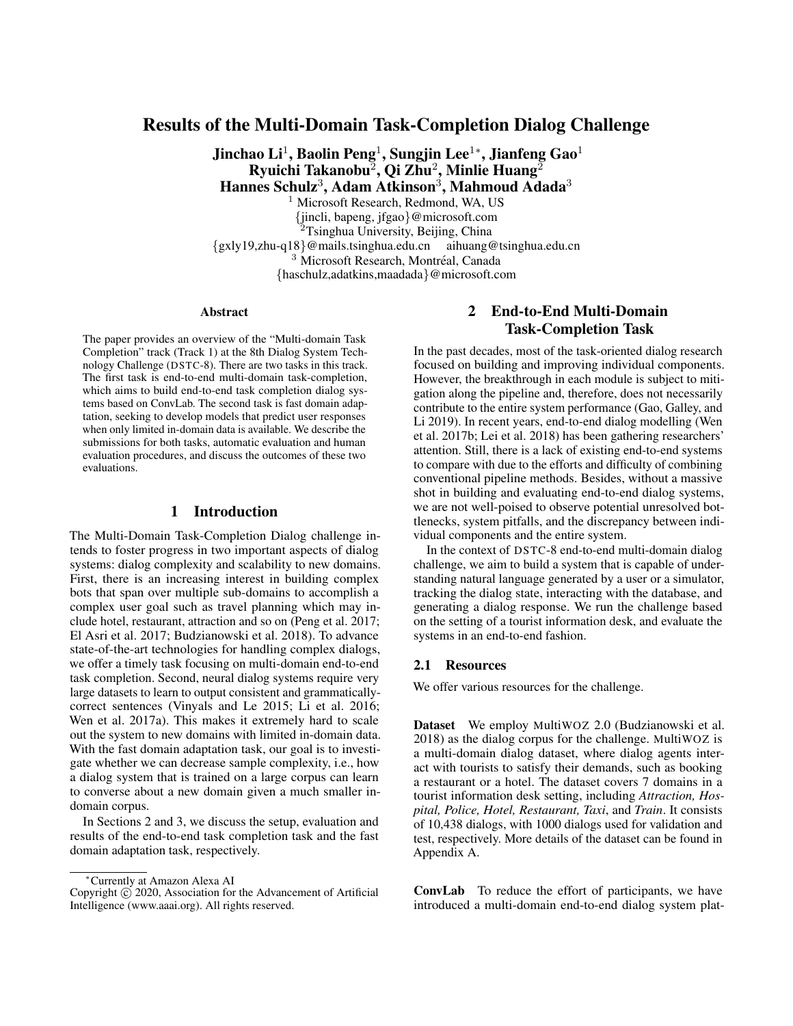| Speaker | Utterance                                                                                                                                             | Annotation                                                                                                                                                                                                                                                                                                                                                           |
|---------|-------------------------------------------------------------------------------------------------------------------------------------------------------|----------------------------------------------------------------------------------------------------------------------------------------------------------------------------------------------------------------------------------------------------------------------------------------------------------------------------------------------------------------------|
| User    | I'm looking for a italian restaurant centre.                                                                                                          | Dialog acts: { "Restaurant-Inform":<br>[["Food","italian"],["Area","centre"]]}                                                                                                                                                                                                                                                                                       |
| System  | There are 9 restaurants that fit your request. What is your<br>pricerange?                                                                            | State: "restaurant": {"food": "italian", "pricerange": "not<br>mentioned", "name": "not mentioned", "area": "centre"}<br>Dialog acts: { "Restaurant-Request": [["Price", "?"]],<br>"Restaurant-Inform": [["Choice", "9"]]}                                                                                                                                           |
| User    | Price doesn't really matter, but can you tell me the address,<br>postcode, and phone for your favorite one?                                           | Dialog acts: {"Restaurant-Request": [ ["Addr","?"], [<br>"Post","?"], ["Phone", "?"] ]}                                                                                                                                                                                                                                                                              |
| System  | My favorite is zizzi cambridge, located at 47 - 53 Regent<br>Street, cb21ab. Their phone number is 01223365599. Would<br>you like to reserve a table? | State: "restaurant": {"food": "italian", "pricerange": "not<br>mentioned", "name": "not mentioned", "area": "centre"}<br>Dialog acts: { "Booking-Inform": [["none", "none"]],<br>"Restaurant-Recommend": [ ["Name", "zizzi cambridge"<br>],["Addr","47 - 53 Regent Street"], [ "Post", "cb21ab"]],<br>"Restaurant-Inform": [["Phone", "01223365599"]] }              |
| User    | No thank you, but I am looking for a college to visit.                                                                                                | Dialog acts: {"Attraction-Inform": [["Type", "college"]]}                                                                                                                                                                                                                                                                                                            |
| System  | Any particular area?                                                                                                                                  | State: "restaurant": {"food": "italian", "pricerange": "not<br>mentioned", "name": "not mentioned", "area": "centre"}<br>"attraction": {"type": "college", "name": "not<br>mentioned", "area": "not mentioned" }<br>Dialog acts:<br>{ "Attraction-Request": [ ["Area", "?"]]}                                                                                        |
| User    | No, it doesn't matter.                                                                                                                                | Dialog acts: $\{\}$                                                                                                                                                                                                                                                                                                                                                  |
| System  | what about clare college? it's in the west.                                                                                                           | State: "restaurant": {"food": "italian", "pricerange": "not<br>mentioned", "name": "not mentioned", "area": "centre"}<br>"attraction": { "type": "college", "name": "not mentioned",<br>"area": "not mentioned"}<br>Dialog acts: { "Attraction-Inform": [ [ "Area", "west"<br>],["Name","clare college"]]}                                                           |
| User    | That sounds great! Could you give me the entrance fee,<br>postcode, and address?                                                                      | Dialog acts: {"Attraction-Request": [["Fee","?"], ["Addr","?"<br>], [ "Post", "?"]] }                                                                                                                                                                                                                                                                                |
| System  | Clare college is located at trinity lane. Their post code is<br>cb21tl. The entrance fee is 2.50 pounds.                                              | State: "restaurant": {"food": "italian", "pricerange": "not<br>mentioned", "name": "not mentioned", "area": "centre"}<br>"attraction": {"type": "college", "name": "clare<br>college", "area": "not mentioned" }<br>Dialog acts: { "Attraction-Inform": [["Fee", "2.50 pounds"], [<br>"Addr", "trinity lane" ], [ "Name", "Clare college"], [ "Post",<br>"cb21tl"]]} |
| User    | Thank you for your help. Have a great day.                                                                                                            | Dialog acts: {"general-thank": [ ["none", "none"]]}                                                                                                                                                                                                                                                                                                                  |
| System  | Have a great day yourself.                                                                                                                            | State: "restaurant": {"food": "italian", "pricerange": "not<br>mentioned", "name": "not mentioned", "area": "centre"}<br>"attraction": {"type": "college", "name": "clare<br>college", "area": "not mentioned" }<br>Dialog acts: {"general-bye": [ [ "none","none" ]]}                                                                                               |

# Table 7: An example dialog for the multi-domain dialog task

Table 8: MetaLWOz size by number of dialogs, domains, and tasks.

| Statistic     | Training MetaLWOz | Evaluation MetaLWOz | Combined      |
|---------------|-------------------|---------------------|---------------|
| Total Domains | 47                |                     | $\mathcal{L}$ |
| Total Tasks   | 226               | 14                  | 240           |
| Total Dialogs | 37884             | 2319                | 40 203        |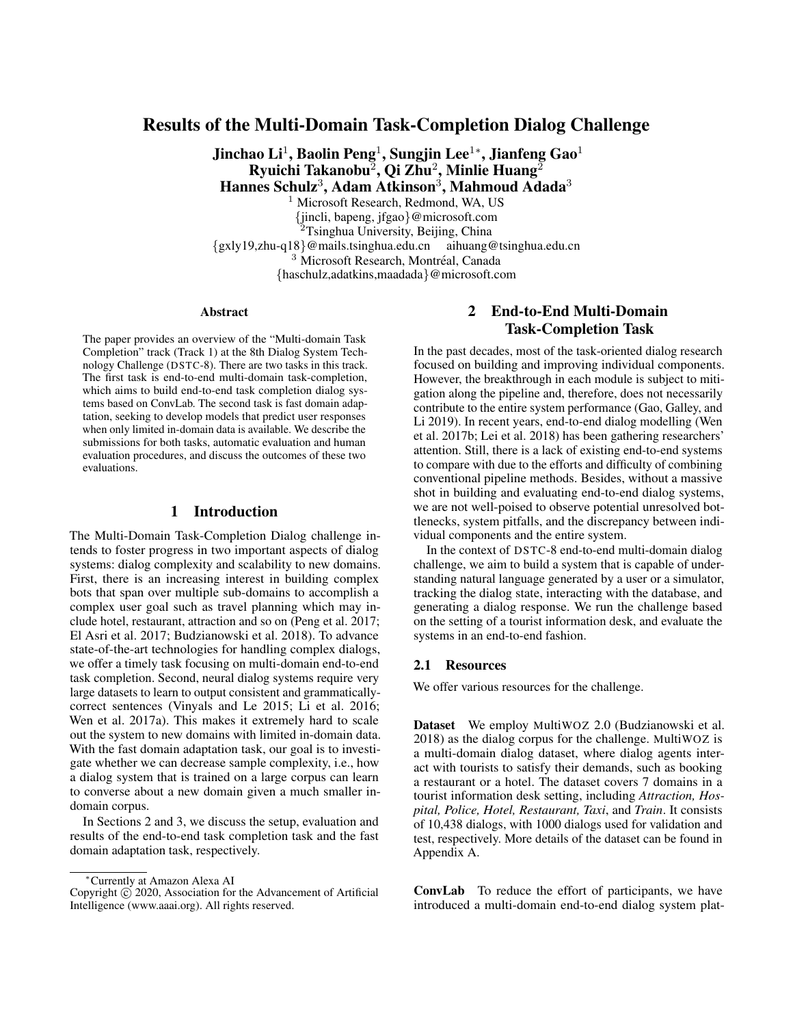|                    |         | Training MetaLWOz |      |         | Evaluation MetaLWOz |     |         | Combined |      |
|--------------------|---------|-------------------|------|---------|---------------------|-----|---------|----------|------|
| <b>Statistic</b>   | Average | Min               | Max  | Average | Min                 | Max | Average | Min      | Max  |
| Turns Per Dialog   | 9.4     |                   | 44   | 9.3     | 8                   | 18  | 9.4     | 8        | 44   |
| Words Per Turn     | 7.7     |                   | 317  | 8.3     |                     | 54  | 7.8     |          | 317  |
| Dialogs Per Domain | 806.0   | 288               | 1990 | 579.8   | 486                 | 782 | 788.3   | 288      | 1990 |
| Dialogs Per Task   | 167.6   | 32                | 285  | 165.6   | 135                 | 196 | 167.5   | 32       | 285  |
| Tasks Per Domain   | 4.8     |                   | 11   | 3.5     |                     |     | 4.7     |          |      |

Table 9: MetaLWOz dialog length, domain, and task distribution summaries.

# **B.2** MetaLWOz Domains

| Agreement Bot                       | Music Suggester          |
|-------------------------------------|--------------------------|
| Alarm Set                           | Name Suggester           |
| <b>Apartment Finder</b>             | Order Pizza              |
| Appointment Reminder                | Pet Advice               |
| Auto Sort                           | Phone Plan Bot           |
| <b>Bank Bot</b>                     | <b>Phone Settings</b>    |
| <b>Booking Flight</b>               | <b>Play Times</b>        |
| <b>Bus Schedule Bot</b>             | Policy Bot               |
| Catalogue Bot                       | Present Ideas            |
| <b>Check Status</b>                 | <b>Prompt Generator</b>  |
| City Info                           | Quote Of The Day Bot     |
| <b>Contact Manager</b>              | <b>Restaurant Picker</b> |
| Decider Bot                         | Scam Lookup              |
| Edit Playlist                       | Shopping                 |
| <b>Event Reserve</b>                | Ski Bot                  |
| <b>Game Rules</b>                   | Sports Info              |
| Geography                           | <b>Store Details</b>     |
| Guinness Check                      | Time Zone                |
| Home Bot                            | Tourism                  |
| <b>Hotel Reserve</b>                | Update Calendar          |
| How To Basic                        | <b>Update Contact</b>    |
| Insurance                           | Vacation Ideas           |
| Library Request                     | Weather Check            |
| Look Up Info                        | <b>Wedding Planner</b>   |
| Movie Listings                      | What Is It               |
| <b>Make Restaurant Reservations</b> |                          |

#### B.3 Diversity

The utility of a multi-domain corpus may be limited if its domains share a large common vocabulary. Furthermore new domains may be more challenging to transfer or adapt to if they have different lexical features, which encapsulate unseen entities, intents, and dialog goals.

To assess the distinctiveness of domains in the MetaLWOz corpus, we examined the unique n-gram overlap between each pair of domains using the Jaccard index. Specifically for two domains  $A$  and  $B$ , the similarity is computed as

$$
J(A;B) = \frac{\prod_{n=1}^{T} \{n\cdot \text{grams}(A); n\cdot \text{grams}(B)\}}{\prod_{n=1}^{T} \{n\cdot \text{grams}(A); n\cdot \text{grams}(B)\}}
$$
(7)

N-grams are computed over the tokens of each turn of each dialog, after stopwords and punctuation are removed. The first and last turns of dialogs are omitted since they are generic. We included longer n-gram features, up to four-grams, to capture common subphrases and improve the discriminative power of the similarity measure.

Our analysis reveals that MetaLWOz domains are considerably disjoint, with only a handful of domain pairs showing significant overlap in expected scenarios (see Fig. 5). Contactrelated domains showed the most overlap, followed by those pertaining to restaurants, calendar and appointments, and films. We also examined the similarity between domains in the MetaLWOz training and evaluation sets. The most similar *(training domain, evaluation domain)* pairs have less lexical overlap compared to domain pairs in the training set-only; reservation-related and the "ski" training domains are the most related to the evaluation set.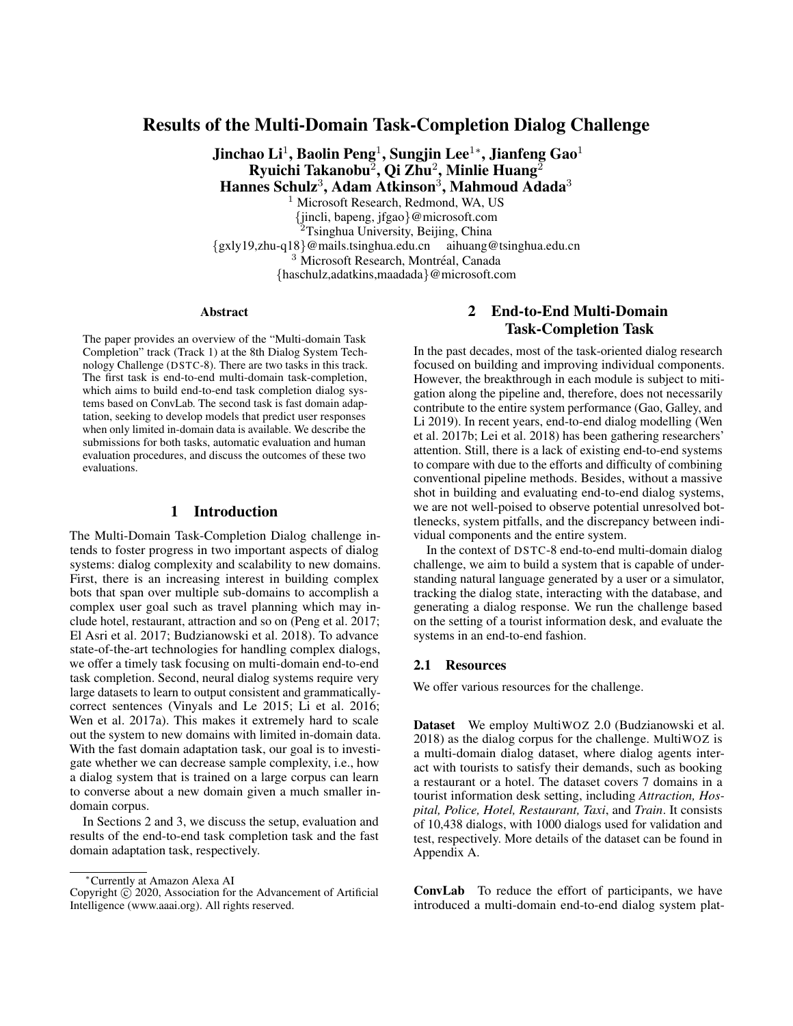

(a) Most similar and least similar domains for the MetaLWOz training dataset.



(c) Most similar and least similar domains between the training and evaluation MetaLWOz datasets.

Figure 5: Pairwise domain similarities for MetaLWOz, best viewed in color. Similarity is computed using the Jaccard index of unique unigram, bigram, trigram, and four-gram features for each pair of domains. Red denotes high similarity, while blue indicates lower similarity. The midpoint of the color scale (white) is the median similarity on the public dataset.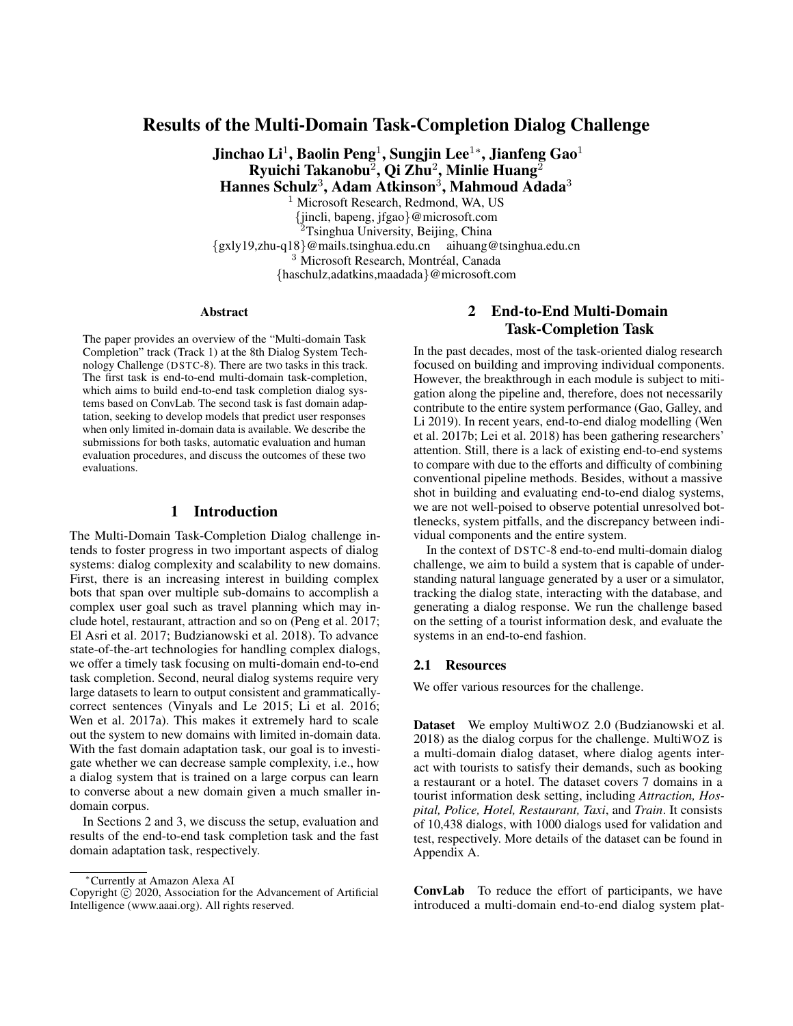## Domain: Ski

User Task: You want to know if there are good ski hills an hour's drive from your current location.

Bot Task: Tell the user that there are no ski hills in their immediate location.

Bot Hello how may I help you?

User Is there any good ski hills an hour's drive from my current location?

Bot I'm sorry to inform you that there are no ski hills in your immediate location

User Can you help me find the nearest?

Bot Absolutely! It looks like you're about 3 hours away from Bear Mountain. That seems to be the closest.

User Hmm.. sounds good

Bot Alright! I can help you get your lift tickets now!When will you be going?

User Awesome! please get me a ticket for 10pax

Bot You've got it. Anything else I can help you with?

User None. Thanks again!

Bot No problem!

## Example of input/output for this dialog:

**Input:** dialog history  $=$  Hello how may I help you?; Is there any good ski hills an hour's drive from my current location?; I'm sorry to inform you that there are no ski hills in your immediate location

Output: user response = Can you help me find the nearest?

## Domain: Game rules

User Task: Ask how to win at the text adventure Zork. If the Bot cannot help you, ask them what games it can help you with.

Bot Task: Tell the user that you are programmed to help them play games, not win them. If the user starts talking about other games, go along with them and try to help.

Bot Hello how may I help you?

User I want to know how I can win playing Zork?

Bot I am programmed to help you play games, not win them User What games can you help me with?

Bot Any game

User Can you specify a certain game? Bot Zork

User What are the rules of Zork?

Bot You have to follow through a cave adventure

User What is the ending of the game?

Bot The user comes out of the cave

Example of input/output for this dialog:

Input: dialog history = Hello how may I help you?; I want to know how I can win playing Zork?; I am programmed to help you play games, not win them

Output: user response = What games can you help me with?

Domain: Music suggestion

User Task: Tell the bot that you like a certain genre of music, but don't prompt it to give you suggestions

Bot Task: Provide suggestions, even if the user doesn't ask for them (or tells you they don't need any)

Bot Hello how may I help you?

User Hello. I like classic rock music.

Bot Dream on Aerosmith

User No, I'm not a huge fan of that song. Is there anything else available?

Bot Sweet Home Alabama

User Well, I do like Lynyrd Skynyrd, but that song is so cliche. Do you have anything else by the same band?

Bot Free bird

User Yes, that is the perfect song for how I am feeling right now!

Bot Great, Is there anything else?

User No, but I really appreciate your assistance. Thank you so much!

Bot Youre welcome

Example of input/output for this dialog:

Input: dialog history = Hello how may I help you?; Hello. I like classic rock music.; Dream on Aerosmith; No, I'm not a huge fan of that song. Is there anything else available?; Sweet Home Alabama;

Output: user response = Well, I do like Lynyrd Skynyrd, but that song is so cliche. Do you have anything else by the same band?

Domain: Information retrieval

User Task: Describe a movie where these guys have to climb a mountain and then throw a thing into the mountain and ask the bot if they know what the movie is called.

Bot Task: Ask the user to elaborate as much as possible about the movie they are asking about, and then suggest they're thinking of Lord of the Rings.

Bot Hello how may I help you?

User I'm trying to remember this movie. Can you help?

Bot I would be happy to help. Can you tell me what it is about?

User In it these guys have to climb up a mountain. Then they throw something into the mountain.

Bot Do you know what genre the movie is, such as comedy, horror, sci-fi, or fantasy?

User Not sure about that.

Bot Do you any of the actor or character names in the movie? User No... All I can remember is the stuff about the mountain. Bot Is it a new movie, or an older movie?

User I don't know.

Bot It sounds like the movie you are talking about could be Lord of the Rings. Does that sound right?

User It could be that. Thanks for the help.

## Example of input/output for this dialog:

**Input:** dialog history = Hello how may I help you?; I'm trying to remember this movie. Can you help?; I would be happy to help. Can you tell me what it is about?; I would be happy to help. Can you tell me what it is about?

**Output:** user response  $=$  In it these guys have to climb up a mountain. Then they throw something into the mountain.